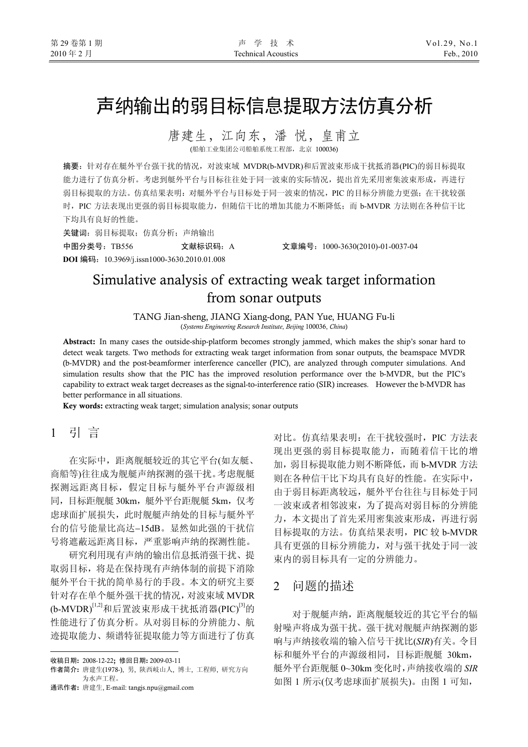# 声纳输出的弱目标信息提取方法仿真分析

唐建生,江向东,潘 悦,皇甫立 (船舶工业集团公司船舶系统工程部,北京 100036)

摘要:针对存在艇外平台强干扰的情况,对波束域 MVDR(b-MVDR)和后置波束形成干扰抵消器(PIC)的弱目标提取 能力进行了仿真分析。考虑到艇外平台与目标往往处于同一波束的实际情况,提出首先采用密集波束形成,再进行 弱目标提取的方法。仿真结果表明: 对艇外平台与目标处于同一波束的情况, PIC 的目标分辨能力更强; 在干扰较强 时, PIC 方法表现出更强的弱目标提取能力,但随信干比的增加其能力不断降低;而 b-MVDR 方法则在各种信干比 下均具有良好的性能。

关键词:弱目标提取;仿真分析;声纳输出

中图分类号:TB556 文献标识码:A 文章编号:1000-3630(2010)-01-0037-04

**DOI** 编码:10.3969/j.issn1000-3630.2010.01.008

# Simulative analysis of extracting weak target information from sonar outputs

TANG Jian-sheng, JIANG Xiang-dong, PAN Yue, HUANG Fu-li (*Systems Engineering Research Institute*, *Beijing* 100036, *China*)

Abstract: In many cases the outside-ship-platform becomes strongly jammed, which makes the ship's sonar hard to detect weak targets. Two methods for extracting weak target information from sonar outputs, the beamspace MVDR (b-MVDR) and the post-beamformer interference canceller (PIC), are analyzed through computer simulations. And simulation results show that the PIC has the improved resolution performance over the b-MVDR, but the PIC's capability to extract weak target decreases as the signal-to-interference ratio (SIR) increases. However the b-MVDR has better performance in all situations.

Key words: extracting weak target; simulation analysis; sonar outputs

# 1 引 言

在实际中,距离舰艇较近的其它平台(如友艇、 商船等)往往成为舰艇声纳探测的强干扰。考虑舰艇 探测远距离目标,假定目标与艇外平台声源级相 同,目标距舰艇 30km,艇外平台距舰艇 5km,仅考 虑球面扩展损失,此时舰艇声纳处的目标与艇外平 台的信号能量比高达−15dB。显然如此强的干扰信 号将遮蔽远距离目标,严重影响声纳的探测性能。

研究利用现有声纳的输出信息抵消强干扰、提 取弱目标,将是在保持现有声纳体制的前提下消除 艇外平台干扰的简单易行的手段。本文的研究主要 针对存在单个艇外强干扰的情况,对波束域 MVDR  $(b-MVDR)^{[1,2]}$ 和后置波束形成干扰抵消器(PIC)<sup>[3]</sup>的 性能进行了仿真分析。从对弱目标的分辨能力、航 迹提取能力、频谱特征提取能力等方面进行了仿真

 $\overline{a}$ 

通讯作者: 唐建生, E-mail: tangjs.npu@gmail.com

对比。仿真结果表明:在干扰较强时,PIC 方法表 现出更强的弱目标提取能力,而随着信干比的增 加,弱目标提取能力则不断降低,而 b-MVDR 方法 则在各种信干比下均具有良好的性能。在实际中, 由于弱目标距离较远,艇外平台往往与目标处于同 一波束或者相邻波束,为了提高对弱目标的分辨能 力,本文提出了首先采用密集波束形成,再进行弱 目标提取的方法。仿真结果表明, PIC 较 b-MVDR 具有更强的目标分辨能力,对与强干扰处于同一波 束内的弱目标具有一定的分辨能力。

# 2问题的描述

对于舰艇声纳,距离舰艇较近的其它平台的辐 射噪声将成为强干扰。强干扰对舰艇声纳探测的影 响与声纳接收端的输入信号干扰比(*SIR*)有关。令目 标和艇外平台的声源级相同,目标距舰艇 30km, 艇外平台距舰艇 0~30km 变化时,声纳接收端的 *SIR* 如图 1 所示(仅考虑球面扩展损失)。由图 1 可知,

收稿日期: 2008-12-22; 修回日期: 2009-03-11

作者简介: 唐建生(1978-), 男, 陕西岐山人, 博士, 工程师, 研究方向 为水声工程。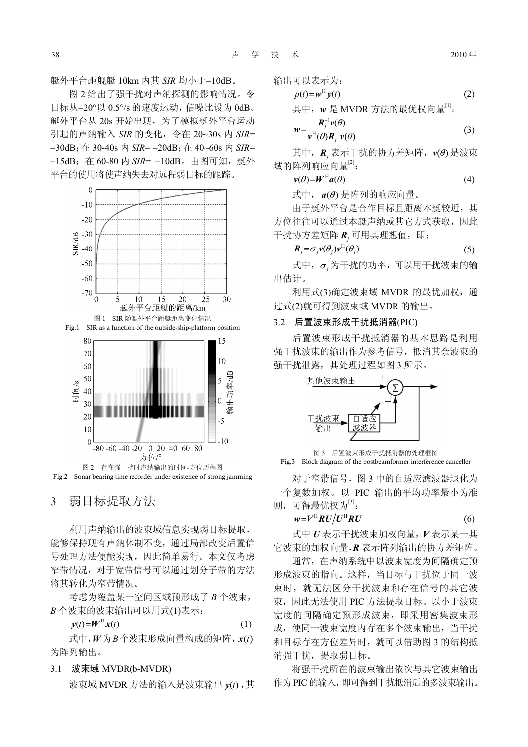艇外平台距舰艇 10km 内其 *SIR* 均小于−10dB。

图 2 给出了强干扰对声纳探测的影响情况。令 目标从−20°以 0.5°/s 的速度运动,信噪比设为 0dB。 艇外平台从 20s 开始出现, 为了模拟艇外平台运动 引起的声纳输入 *SIR* 的变化,令在 20~30s 内 *SIR*= −30dB;在 30-40s 内 *SIR*= −20dB;在 40~60s 内 *SIR*= −15dB;在 60-80 内 *SIR*= −10dB。由图可知,艇外 平台的使用将使声纳失去对远程弱目标的跟踪。



Fig.2 Sonar bearing time recorder under existence of strong jamming

# 3弱目标提取方法

利用声纳输出的波束域信息实现弱目标提取, 能够保持现有声纳体制不变,通过局部改变后置信 号处理方法便能实现,因此简单易行。本文仅考虑 窄带情况,对于宽带信号可以通过划分子带的方法 将其转化为窄带情况。

考虑为覆盖某一空间区域预形成了 *B* 个波束, *B* 个波束的波束输出可以用式(1)表示:

$$
y(t) = W^{\rm H} x(t) \tag{1}
$$

式中,*W*为*B*个波束形成向量构成的矩阵,*x*(*t*) 为阵列输出。

#### 3.1 波束域 MVDR(b-MVDR)

波束域 MVDR 方法的输入是波束输出  $y(t)$ ,其

输出可以表示为:

 $w =$ 

$$
p(t)=w^{\mathrm{H}}y(t)
$$
\n
$$
\text{其中, } w \triangleq \text{MVDR} \text{ 7} \times \text{ 6} \times \text{ 7} \times \text{ 7} \times \text{ 7} \times \text{ 7} \times \text{ 7} \times \text{ 7} \times \text{ 7} \times \text{ 7} \times \text{ 7} \times \text{ 7} \times \text{ 8} \times \text{ 7} \times \text{ 8} \times \text{ 8} \times \text{ 9} \times \text{ 1} \times \text{ 1} \times \text{ 1} \times \text{ 1} \times \text{ 1} \times \text{ 1} \times \text{ 1} \times \text{ 1} \times \text{ 1} \times \text{ 1} \times \text{ 1} \times \text{ 1} \times \text{ 1} \times \text{ 1} \times \text{ 1} \times \text{ 1} \times \text{ 1} \times \text{ 1} \times \text{ 1} \times \text{ 1} \times \text{ 1} \times \text{ 1} \times \text{ 1} \times \text{ 1} \times \text{ 1} \times \text{ 1} \times \text{ 1} \times \text{ 1} \times \text{ 1} \times \text{ 1} \times \text{ 1} \times \text{ 1} \times \text{ 1} \times \text{ 1} \times \text{ 1} \times \text{ 1} \times \text{ 1} \times \text{ 1} \times \text{ 1} \times \text{ 1} \times \text{ 1} \times \text{ 1} \times \text{ 1} \times \text{ 1} \times \text{ 1} \times \text{ 1} \times \text{ 1} \times \text{ 1} \times \text{ 1} \times \text{ 1} \times \text{ 1} \times \text{ 1} \times \text{ 1} \times \text{ 1} \times \text{ 1} \times \text{ 1} \times \text{ 1} \times \text{ 1} \times \text{ 1} \times \text{ 1} \times \text{ 1} \times \text{ 1} \times \text{ 1} \times \text{ 1} \times \text{ 1} \times \text{ 1} \times \text{ 1} \times \text{ 1} \times \text{ 1} \times \text{ 1} \times \text{ 1} \times \text{ 1} \times \text{ 1} \times \
$$

$$
=\frac{\boldsymbol{R}_j^{-1}\boldsymbol{v}(\theta)}{\boldsymbol{v}^{\mathrm{H}}(\theta)\boldsymbol{R}_j^{-1}\boldsymbol{v}(\theta)}
$$
(3)

其中, *R*<sub>,</sub> 表示干扰的协方差矩阵,  $v$ (θ) 是波束 域的阵列响应向量[2]:

$$
\nu(\theta) = W^{\mathrm{H}} a(\theta) \tag{4}
$$

式中,*a*(<sup>θ</sup> ) 是阵列的响应向量。

由于艇外平台是合作目标且距离本艇较近,其 方位往往可以通过本艇声纳或其它方式获取,因此 干扰协方差矩阵 *R*<sub>,</sub> 可用其理想值, 即:

$$
\boldsymbol{R}_j = \sigma_j \boldsymbol{v}(\theta_j) \boldsymbol{v}^{\mathrm{H}}(\theta_j) \tag{5}
$$

式中,<sup>σ</sup> *<sup>j</sup>* 为干扰的功率,可以用干扰波束的输 出估计。

利用式(3)确定波束域 MVDR 的最优加权, 通 过式(2)就可得到波束域 MVDR 的输出。

#### 3.2 后置波束形成干扰抵消器(PIC)

后置波束形成干扰抵消器的基本思路是利用 强干扰波束的输出作为参考信号,抵消其余波束的 强干扰泄露,其处理过程如图 3 所示。



图 3 后置波束形成干扰抵消器的处理框图 Fig.3 Block diagram of the postbeamformer interference canceller

对于窄带信号,图 3 中的自适应滤波器退化为 一个复数加权。以 PIC 输出的平均功率最小为准 则,可得最优权为<sup>[3]</sup>:

$$
w = V^{\rm H} R U / U^{\rm H} R U \tag{6}
$$

式中 *U* 表示干扰波束加权向量,*V* 表示某一其 它波束的加权向量,*R* 表示阵列输出的协方差矩阵。

通常,在声纳系统中以波束宽度为间隔确定预 形成波束的指向。这样,当目标与干扰位于同一波 束时,就无法区分干扰波束和存在信号的其它波 束,因此无法使用 PIC 方法提取目标。以小于波束 宽度的间隔确定预形成波束,即采用密集波束形 成,使同一波束宽度内存在多个波束输出,当干扰 和目标存在方位差异时,就可以借助图 3 的结构抵 消强干扰,提取弱目标。

将强干扰所在的波束输出依次与其它波束输出 作为 PIC 的输入,即可得到干扰抵消后的多波束输出。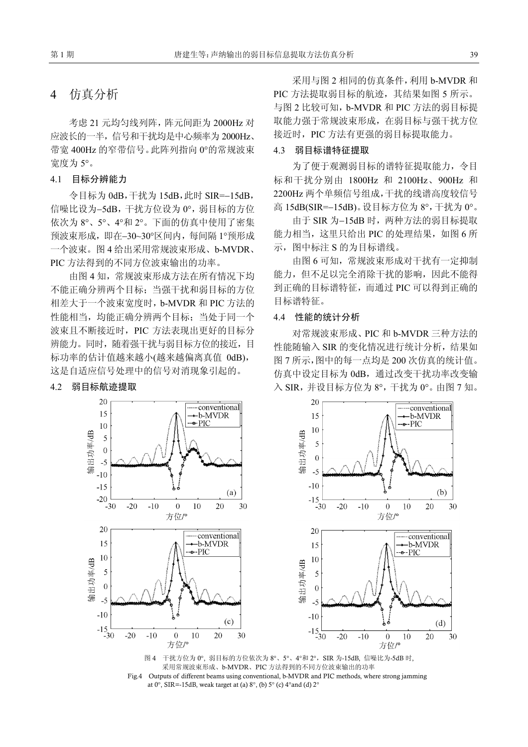# 4仿真分析

考虑 21 元均匀线列阵,阵元间距为 2000Hz 对 应波长的一半,信号和干扰均是中心频率为 2000Hz、 带宽 400Hz 的窄带信号。此阵列指向 0°的常规波束 宽度为 5°。

## 4.1 目标分辨能力

令目标为 0dB,干扰为 15dB,此时 SIR=−15dB, 信噪比设为−5dB,干扰方位设为 0°,弱目标的方位 依次为 8°、5°、4°和 2°。下面的仿真中使用了密集 预波束形成,即在−30~30°区间内,每间隔 1°预形成 一个波束。图 4 给出采用常规波束形成、b-MVDR、 PIC 方法得到的不同方位波束输出的功率。

由图 4 知,常规波束形成方法在所有情况下均 不能正确分辨两个目标;当强干扰和弱目标的方位 相差大于一个波束宽度时,b-MVDR 和 PIC 方法的 性能相当,均能正确分辨两个目标;当处于同一个 波束且不断接近时,PIC 方法表现出更好的目标分 辨能力。同时,随着强干扰与弱目标方位的接近,目 标功率的估计值越来越小(越来越偏离真值 0dB), 这是自适应信号处理中的信号对消现象引起的。

### 4.2 弱目标航迹提取

采用与图 2 相同的仿真条件,利用 b-MVDR 和 PIC 方法提取弱目标的航迹,其结果如图 5 所示。 与图 2 比较可知,b-MVDR 和 PIC 方法的弱目标提 取能力强于常规波束形成,在弱目标与强干扰方位 接近时,PIC 方法有更强的弱目标提取能力。

### 4.3 弱目标谱特征提取

为了便于观测弱目标的谱特征提取能力, 令目 标和干扰分别由 1800Hz 和 2100Hz、900Hz 和 2200Hz 两个单频信号组成,干扰的线谱高度较信号 高 15dB(SIR=−15dB)。设目标方位为 8°,干扰为 0°。

由于 SIR 为−15dB 时, 两种方法的弱目标提取 能力相当, 这里只给出 PIC 的处理结果, 如图 6 所 示,图中标注 S 的为目标谱线。

由图 6 可知,常规波束形成对干扰有一定抑制 能力,但不足以完全消除干扰的影响,因此不能得 到正确的目标谱特征,而通过 PIC 可以得到正确的 目标谱特征。

#### 4.4 性能的统计分析

对常规波束形成、PIC 和 b-MVDR 三种方法的 性能随输入 SIR 的变化情况进行统计分析,结果如 图 7 所示,图中的每一点均是 200 次仿真的统计值。 仿真中设定目标为 0dB, 通过改变干扰功率改变输 入 SIR,并设目标方位为 8°,干扰为 0°。由图 7 知。



图 4 干扰方位为 0°, 弱目标的方位依次为 8°、5°、4°和 2°, SIR 为-15dB, 信噪比为-5dB 时, 采用常规波束形成、b-MVDR、PIC 方法得到的不同方位波束输出的功率 Fig.4 Outputs of different beams using conventional, b-MVDR and PIC methods, where strong jamming at  $0^\circ$ , SIR=-15dB, weak target at (a)  $8^\circ$ , (b)  $5^\circ$  (c)  $4^\circ$  and (d)  $2^\circ$